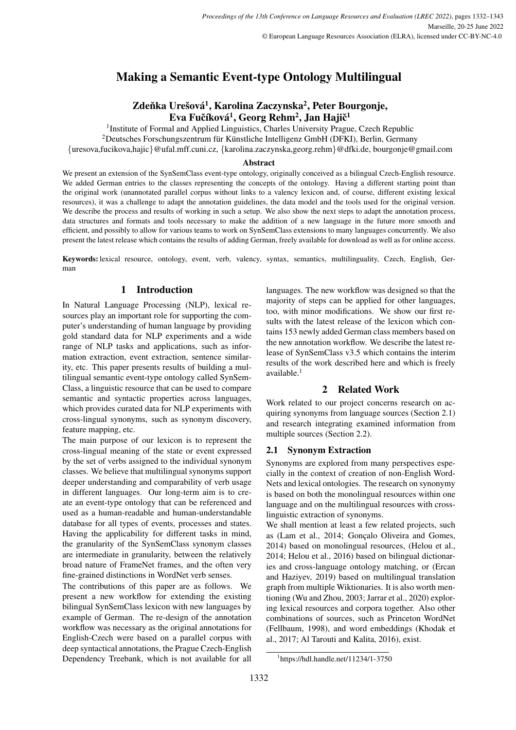# Making a Semantic Event-type Ontology Multilingual

## Zdeňka Urešová<sup>1</sup>, Karolina Zaczynska<sup>2</sup>, Peter Bourgonje, Eva Fučíková $^1$ , Georg Rehm $^2$ , Jan Hajič $^1$

<sup>1</sup>Institute of Formal and Applied Linguistics, Charles University Prague, Czech Republic

 $2$ Deutsches Forschungszentrum für Künstliche Intelligenz GmbH (DFKI), Berlin, Germany

{uresova,fucikova,hajic}@ufal.mff.cuni.cz, {karolina.zaczynska,georg.rehm}@dfki.de, bourgonje@gmail.com

### Abstract

We present an extension of the SynSemClass event-type ontology, originally conceived as a bilingual Czech-English resource. We added German entries to the classes representing the concepts of the ontology. Having a different starting point than the original work (unannotated parallel corpus without links to a valency lexicon and, of course, different existing lexical resources), it was a challenge to adapt the annotation guidelines, the data model and the tools used for the original version. We describe the process and results of working in such a setup. We also show the next steps to adapt the annotation process, data structures and formats and tools necessary to make the addition of a new language in the future more smooth and efficient, and possibly to allow for various teams to work on SynSemClass extensions to many languages concurrently. We also present the latest release which contains the results of adding German, freely available for download as well as for online access.

Keywords: lexical resource, ontology, event, verb, valency, syntax, semantics, multilinguality, Czech, English, German

### 1 Introduction

In Natural Language Processing (NLP), lexical resources play an important role for supporting the computer's understanding of human language by providing gold standard data for NLP experiments and a wide range of NLP tasks and applications, such as information extraction, event extraction, sentence similarity, etc. This paper presents results of building a multilingual semantic event-type ontology called SynSem-Class, a linguistic resource that can be used to compare semantic and syntactic properties across languages, which provides curated data for NLP experiments with cross-lingual synonyms, such as synonym discovery, feature mapping, etc.

The main purpose of our lexicon is to represent the cross-lingual meaning of the state or event expressed by the set of verbs assigned to the individual synonym classes. We believe that multilingual synonyms support deeper understanding and comparability of verb usage in different languages. Our long-term aim is to create an event-type ontology that can be referenced and used as a human-readable and human-understandable database for all types of events, processes and states. Having the applicability for different tasks in mind, the granularity of the SynSemClass synonym classes are intermediate in granularity, between the relatively broad nature of FrameNet frames, and the often very fine-grained distinctions in WordNet verb senses.

The contributions of this paper are as follows. We present a new workflow for extending the existing bilingual SynSemClass lexicon with new languages by example of German. The re-design of the annotation workflow was necessary as the original annotations for English-Czech were based on a parallel corpus with deep syntactical annotations, the Prague Czech-English Dependency Treebank, which is not available for all languages. The new workflow was designed so that the majority of steps can be applied for other languages, too, with minor modifications. We show our first results with the latest release of the lexicon which contains 153 newly added German class members based on the new annotation workflow. We describe the latest release of SynSemClass v3.5 which contains the interim results of the work described here and which is freely available.<sup>[1](#page-0-0)</sup>

## 2 Related Work

Work related to our project concerns research on acquiring synonyms from language sources (Section [2.1\)](#page-0-1) and research integrating examined information from multiple sources (Section [2.2\)](#page-1-0).

### <span id="page-0-1"></span>2.1 Synonym Extraction

Synonyms are explored from many perspectives especially in the context of creation of non-English Word-Nets and lexical ontologies. The research on synonymy is based on both the monolingual resources within one language and on the multilingual resources with crosslinguistic extraction of synonyms.

We shall mention at least a few related projects, such as [\(Lam et al., 2014;](#page-9-0) Gonçalo Oliveira and Gomes, [2014\)](#page-9-1) based on monolingual resources, [\(Helou et al.,](#page-9-2) [2014;](#page-9-2) [Helou et al., 2016\)](#page-9-3) based on bilingual dictionaries and cross-language ontology matching, or [\(Ercan](#page-8-0) [and Haziyev, 2019\)](#page-8-0) based on multilingual translation graph from multiple Wiktionaries. It is also worth mentioning [\(Wu and Zhou, 2003;](#page-10-0) [Jarrar et al., 2020\)](#page-9-4) exploring lexical resources and corpora together. Also other combinations of sources, such as Princeton WordNet [\(Fellbaum, 1998\)](#page-8-1), and word embeddings [\(Khodak et](#page-9-5) [al., 2017;](#page-9-5) [Al Tarouti and Kalita, 2016\)](#page-8-2), exist.

<span id="page-0-0"></span><sup>1</sup> <https://hdl.handle.net/11234/1-3750>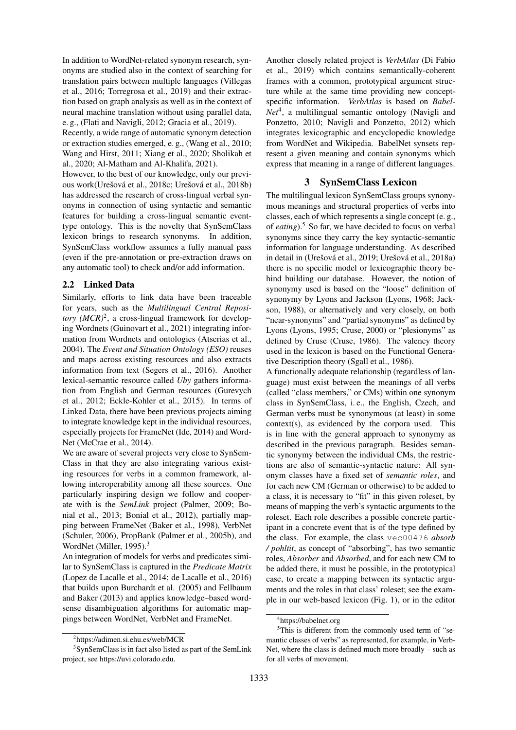In addition to WordNet-related synonym research, synonyms are studied also in the context of searching for translation pairs between multiple languages [\(Villegas](#page-10-1) [et al., 2016;](#page-10-1) [Torregrosa et al., 2019\)](#page-10-2) and their extraction based on graph analysis as well as in the context of neural machine translation without using parallel data, e. g., [\(Flati and Navigli, 2012;](#page-9-6) [Gracia et al., 2019\)](#page-9-7).

Recently, a wide range of automatic synonym detection or extraction studies emerged, e. g., [\(Wang et al., 2010;](#page-10-3) [Wang and Hirst, 2011;](#page-10-4) [Xiang et al., 2020;](#page-10-5) [Sholikah et](#page-10-6) [al., 2020;](#page-10-6) [Al-Matham and Al-Khalifa, 2021\)](#page-8-3).

However, to the best of our knowledge, only our previous work(Urešová et al., 2018c; Urešová et al., 2018b) has addressed the research of cross-lingual verbal synonyms in connection of using syntactic and semantic features for building a cross-lingual semantic eventtype ontology. This is the novelty that SynSemClass lexicon brings to research synonyms. In addition, SynSemClass workflow assumes a fully manual pass (even if the pre-annotation or pre-extraction draws on any automatic tool) to check and/or add information.

### <span id="page-1-0"></span>2.2 Linked Data

Similarly, efforts to link data have been traceable for years, such as the *Multilingual Central Repository*  $(MCR)^2$  $(MCR)^2$ , a cross-lingual framework for developing Wordnets [\(Guinovart et al., 2021\)](#page-9-8) integrating information from Wordnets and ontologies [\(Atserias et al.,](#page-8-4) [2004\)](#page-8-4). The *Event and Situation Ontology (ESO)* reuses and maps across existing resources and also extracts information from text [\(Segers et al., 2016\)](#page-10-9). Another lexical-semantic resource called *Uby* gathers information from English and German resources [\(Gurevych](#page-9-9) [et al., 2012;](#page-9-9) [Eckle-Kohler et al., 2015\)](#page-8-5). In terms of Linked Data, there have been previous projects aiming to integrate knowledge kept in the individual resources, especially projects for FrameNet [\(Ide, 2014\)](#page-9-10) and Word-Net [\(McCrae et al., 2014\)](#page-9-11).

We are aware of several projects very close to SynSem-Class in that they are also integrating various existing resources for verbs in a common framework, allowing interoperability among all these sources. One particularly inspiring design we follow and cooperate with is the *SemLink* project [\(Palmer, 2009;](#page-9-12) [Bo](#page-8-6)[nial et al., 2013;](#page-8-6) [Bonial et al., 2012\)](#page-8-7), partially mapping between FrameNet [\(Baker et al., 1998\)](#page-8-8), VerbNet [\(Schuler, 2006\)](#page-10-10), PropBank [\(Palmer et al., 2005b\)](#page-9-13), and WordNet [\(Miller, 1995\)](#page-9-14).<sup>[3](#page-1-2)</sup>

An integration of models for verbs and predicates similar to SynSemClass is captured in the *Predicate Matrix* [\(Lopez de Lacalle et al., 2014;](#page-9-15) [de Lacalle et al., 2016\)](#page-8-9) that builds upon [Burchardt et al. \(2005\)](#page-8-10) and [Fellbaum](#page-8-11) [and Baker \(2013\)](#page-8-11) and applies knowledge–based wordsense disambiguation algorithms for automatic mappings between WordNet, VerbNet and FrameNet.

Another closely related project is *VerbAtlas* [\(Di Fabio](#page-8-12) [et al., 2019\)](#page-8-12) which contains semantically-coherent frames with a common, prototypical argument structure while at the same time providing new conceptspecific information. *VerbAtlas* is based on *Babel-Net*[4](#page-1-3) , a multilingual semantic ontology [\(Navigli and](#page-9-16) [Ponzetto, 2010;](#page-9-16) [Navigli and Ponzetto, 2012\)](#page-9-17) which integrates lexicographic and encyclopedic knowledge from WordNet and Wikipedia. BabelNet synsets represent a given meaning and contain synonyms which express that meaning in a range of different languages.

### 3 SynSemClass Lexicon

<span id="page-1-5"></span>The multilingual lexicon SynSemClass groups synonymous meanings and structural properties of verbs into classes, each of which represents a single concept (e. g., of *eating*).[5](#page-1-4) So far, we have decided to focus on verbal synonyms since they carry the key syntactic-semantic information for language understanding. As described in detail in (Urešová et al., 2019; Urešová et al., 2018a) there is no specific model or lexicographic theory behind building our database. However, the notion of synonymy used is based on the "loose" definition of synonymy by Lyons and Jackson [\(Lyons, 1968;](#page-9-18) [Jack](#page-9-19)[son, 1988\)](#page-9-19), or alternatively and very closely, on both "near-synonyms" and "partial synonyms" as defined by Lyons [\(Lyons, 1995;](#page-9-20) [Cruse, 2000\)](#page-8-13) or "plesionyms" as defined by Cruse [\(Cruse, 1986\)](#page-8-14). The valency theory used in the lexicon is based on the Functional Generative Description theory [\(Sgall et al., 1986\)](#page-10-13).

A functionally adequate relationship (regardless of language) must exist between the meanings of all verbs (called "class members," or CMs) within one synonym class in SynSemClass, i. e., the English, Czech, and German verbs must be synonymous (at least) in some context(s), as evidenced by the corpora used. This is in line with the general approach to synonymy as described in the previous paragraph. Besides semantic synonymy between the individual CMs, the restrictions are also of semantic-syntactic nature: All synonym classes have a fixed set of *semantic roles*, and for each new CM (German or otherwise) to be added to a class, it is necessary to "fit" in this given roleset, by means of mapping the verb's syntactic arguments to the roleset. Each role describes a possible concrete participant in a concrete event that is of the type defined by the class. For example, the class vec00476 *absorb / pohltit*, as concept of "absorbing", has two semantic roles, *Absorber* and *Absorbed*, and for each new CM to be added there, it must be possible, in the prototypical case, to create a mapping between its syntactic arguments and the roles in that class' roleset; see the example in our web-based lexicon (Fig. [1\)](#page-2-0), or in the editor

<span id="page-1-2"></span><span id="page-1-1"></span><sup>2</sup> <https://adimen.si.ehu.es/web/MCR>

<sup>3</sup> SynSemClass is in fact also listed as part of the SemLink project, see [https://uvi.colorado.edu.](https://uvi.colorado.edu)

<span id="page-1-4"></span><span id="page-1-3"></span><sup>4</sup> <https://babelnet.org>

<sup>&</sup>lt;sup>5</sup>This is different from the commonly used term of "semantic classes of verbs" as represented, for example, in Verb-Net, where the class is defined much more broadly – such as for all verbs of movement.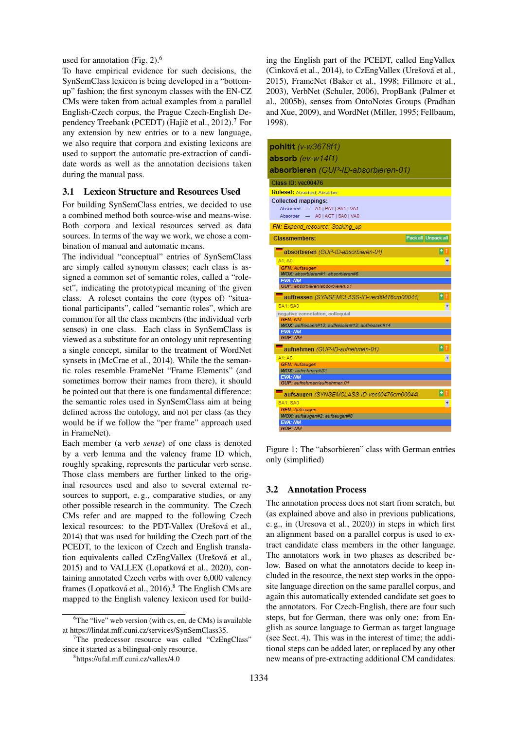used for annotation (Fig. [2\)](#page-3-0). $<sup>6</sup>$  $<sup>6</sup>$  $<sup>6</sup>$ </sup>

To have empirical evidence for such decisions, the SynSemClass lexicon is being developed in a "bottomup" fashion; the first synonym classes with the EN-CZ CMs were taken from actual examples from a parallel English-Czech corpus, the Prague Czech-English De-pendency Treebank (PCEDT) (Hajič et al., 2012).<sup>[7](#page-2-2)</sup> For any extension by new entries or to a new language, we also require that corpora and existing lexicons are used to support the automatic pre-extraction of candidate words as well as the annotation decisions taken during the manual pass.

#### 3.1 Lexicon Structure and Resources Used

For building SynSemClass entries, we decided to use a combined method both source-wise and means-wise. Both corpora and lexical resources served as data sources. In terms of the way we work, we chose a combination of manual and automatic means.

The individual "conceptual" entries of SynSemClass are simply called synonym classes; each class is assigned a common set of semantic roles, called a "roleset", indicating the prototypical meaning of the given class. A roleset contains the core (types of) "situational participants", called "semantic roles", which are common for all the class members (the individual verb senses) in one class. Each class in SynSemClass is viewed as a substitute for an ontology unit representing a single concept, similar to the treatment of WordNet synsets in [\(McCrae et al., 2014\)](#page-9-11). While the the semantic roles resemble FrameNet "Frame Elements" (and sometimes borrow their names from there), it should be pointed out that there is one fundamental difference: the semantic roles used in SynSemClass aim at being defined across the ontology, and not per class (as they would be if we follow the "per frame" approach used in FrameNet).

Each member (a verb *sense*) of one class is denoted by a verb lemma and the valency frame ID which, roughly speaking, represents the particular verb sense. Those class members are further linked to the original resources used and also to several external resources to support, e. g., comparative studies, or any other possible research in the community. The Czech CMs refer and are mapped to the following Czech lexical resources: to the PDT-Vallex (Urešová et al., 2014) that was used for building the Czech part of the PCEDT, to the lexicon of Czech and English translation equivalents called CzEngVallex (Urešová et al., 2015) and to VALLEX (Lopatková et al., 2020), containing annotated Czech verbs with over 6,000 valency frames (Lopatková et al., 2016).<sup>[8](#page-2-3)</sup> The English CMs are mapped to the English valency lexicon used for building the English part of the PCEDT, called EngVallex (Cinková et al., 2014), to CzEngVallex (Urešová et al., 2015), FrameNet [\(Baker et al., 1998;](#page-8-8) [Fillmore et al.,](#page-9-22) [2003\)](#page-9-22), VerbNet [\(Schuler, 2006\)](#page-10-10), PropBank [\(Palmer et](#page-9-13) [al., 2005b\)](#page-9-13), senses from OntoNotes Groups [\(Pradhan](#page-9-23) [and Xue, 2009\)](#page-9-23), and WordNet [\(Miller, 1995;](#page-9-14) [Fellbaum,](#page-8-1) [1998\)](#page-8-1).

| <b>pohitit</b> (v-w3678f1)                                   |
|--------------------------------------------------------------|
| absorb $(eV-W14f1)$                                          |
| absorbieren (GUP-ID-absorbieren-01)                          |
| Class ID: yec00476                                           |
| <b>Roleset: Absorbed: Absorber</b>                           |
| <b>Collected mappings:</b>                                   |
| Absorbed → A1   PAT   SA1   VA1                              |
| Absorber - A0   ACT   SA0   VA0                              |
| FN: Expend resource: Soaking up                              |
| Pack all Unpack all<br><b>Classmembers:</b>                  |
| Ht<br>absorbieren (GUP-ID-absorbieren-01)                    |
| A1: A0                                                       |
| <b>GFN: Aufsaugen</b>                                        |
| WOX: absorbieren#1; absorbieren#6<br><b>EVA: NM</b>          |
| GUP: absorbieren/absorbieren.01                              |
| H <sub>1</sub>                                               |
| auffressen (SYNSEMCLASS-ID-vec00476cm00041)                  |
| <b>SA1: SA0</b>                                              |
| negative connotation, colloquial<br><b>GFN: NM</b>           |
| WOX: auffressen#12; auffressen#13; auffressen#14             |
| <b>EVA: NM</b>                                               |
| <b>GUP: NM</b>                                               |
| $+1$<br>aufnehmen (GUP-ID-aufnehmen-01)                      |
| A1: A0<br>$\ddot{}$                                          |
| <b>GFN: Aufsaugen</b>                                        |
| WOX: aufnehmen#32<br><b>EVA: NM</b>                          |
| GUP: aufnehmen/aufnehmen.01                                  |
| H <sub>1</sub><br>aufsaugen (SYNSEMCLASS-ID-vec00476cm00044) |
| <b>SA1</b> : SA0<br>÷                                        |
| <b>GFN: Aufsaugen</b>                                        |
| WOX: aufsaugen#2; aufsaugen#8                                |
| <b>EVA: NM</b><br><b>GUP: NM</b>                             |
|                                                              |

<span id="page-2-0"></span>Figure 1: The "absorbieren" class with German entries only (simplified)

### <span id="page-2-4"></span>3.2 Annotation Process

The annotation process does not start from scratch, but (as explained above and also in previous publications, e. g., in [\(Uresova et al., 2020\)](#page-10-14)) in steps in which first an alignment based on a parallel corpus is used to extract candidate class members in the other language. The annotators work in two phases as described below. Based on what the annotators decide to keep included in the resource, the next step works in the opposite language direction on the same parallel corpus, and again this automatically extended candidate set goes to the annotators. For Czech-English, there are four such steps, but for German, there was only one: from English as source language to German as target language (see Sect. [4\)](#page-3-1). This was in the interest of time; the additional steps can be added later, or replaced by any other new means of pre-extracting additional CM candidates.

<span id="page-2-1"></span> ${}^{6}$ The "live" web version (with cs, en, de CMs) is available at [https://lindat.mff.cuni.cz/services/SynSemClass35.](https://lindat.mff.cuni.cz/services/SynSemClass35)

<span id="page-2-2"></span><sup>&</sup>lt;sup>7</sup>The predecessor resource was called "CzEngClass" since it started as a bilingual-only resource.

<span id="page-2-3"></span><sup>8</sup> <https://ufal.mff.cuni.cz/vallex/4.0>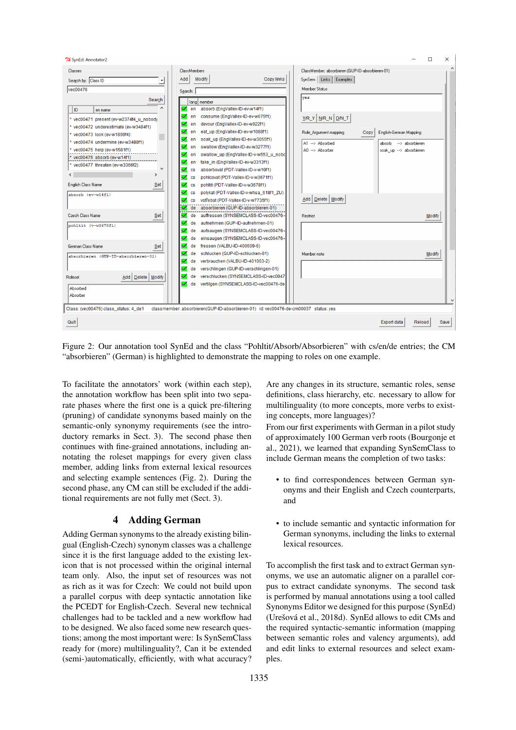74 SynEd: Annotator2



<span id="page-3-0"></span>Figure 2: Our annotation tool SynEd and the class "Pohltit/Absorb/Absorbieren" with cs/en/de entries; the CM "absorbieren" (German) is highlighted to demonstrate the mapping to roles on one example.

To facilitate the annotators' work (within each step), the annotation workflow has been split into two separate phases where the first one is a quick pre-filtering (pruning) of candidate synonyms based mainly on the semantic-only synonymy requirements (see the introductory remarks in Sect. [3\)](#page-1-5). The second phase then continues with fine-grained annotations, including annotating the roleset mappings for every given class member, adding links from external lexical resources and selecting example sentences (Fig. [2\)](#page-3-0). During the second phase, any CM can still be excluded if the additional requirements are not fully met (Sect. [3\)](#page-1-5).

### 4 Adding German

<span id="page-3-1"></span>Adding German synonyms to the already existing bilingual (English-Czech) synonym classes was a challenge since it is the first language added to the existing lexicon that is not processed within the original internal team only. Also, the input set of resources was not as rich as it was for Czech: We could not build upon a parallel corpus with deep syntactic annotation like the PCEDT for English-Czech. Several new technical challenges had to be tackled and a new workflow had to be designed. We also faced some new research questions; among the most important were: Is SynSemClass ready for (more) multilinguality?, Can it be extended (semi-)automatically, efficiently, with what accuracy? Are any changes in its structure, semantic roles, sense definitions, class hierarchy, etc. necessary to allow for multilinguality (to more concepts, more verbs to existing concepts, more languages)?

 $\Box$ 

 $\times$ 

From our first experiments with German in a pilot study of approximately 100 German verb roots [\(Bourgonje et](#page-8-15) [al., 2021\)](#page-8-15), we learned that expanding SynSemClass to include German means the completion of two tasks:

- to find correspondences between German synonyms and their English and Czech counterparts, and
- to include semantic and syntactic information for German synonyms, including the links to external lexical resources.

To accomplish the first task and to extract German synonyms, we use an automatic aligner on a parallel corpus to extract candidate synonyms. The second task is performed by manual annotations using a tool called Synonyms Editor we designed for this purpose (SynEd) (Urešová et al., 2018d). SynEd allows to edit CMs and the required syntactic-semantic information (mapping between semantic roles and valency arguments), add and edit links to external resources and select examples.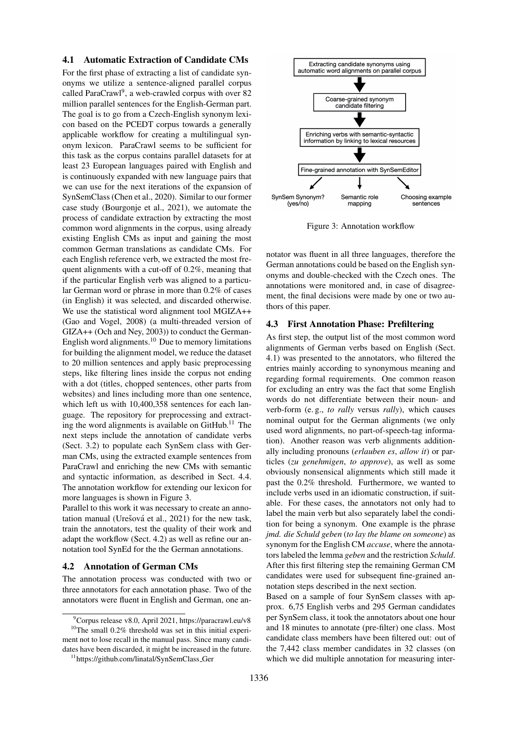#### <span id="page-4-5"></span>4.1 Automatic Extraction of Candidate CMs

For the first phase of extracting a list of candidate synonyms we utilize a sentence-aligned parallel corpus called ParaCrawl<sup>[9](#page-4-0)</sup>, a web-crawled corpus with over 82 million parallel sentences for the English-German part. The goal is to go from a Czech-English synonym lexicon based on the PCEDT corpus towards a generally applicable workflow for creating a multilingual synonym lexicon. ParaCrawl seems to be sufficient for this task as the corpus contains parallel datasets for at least 23 European languages paired with English and is continuously expanded with new language pairs that we can use for the next iterations of the expansion of SynSemClass [\(Chen et al., 2020\)](#page-8-16). Similar to our former case study [\(Bourgonje et al., 2021\)](#page-8-15), we automate the process of candidate extraction by extracting the most common word alignments in the corpus, using already existing English CMs as input and gaining the most common German translations as candidate CMs. For each English reference verb, we extracted the most frequent alignments with a cut-off of 0.2%, meaning that if the particular English verb was aligned to a particular German word or phrase in more than 0.2% of cases (in English) it was selected, and discarded otherwise. We use the statistical word alignment tool MGIZA++ [\(Gao and Vogel, 2008\)](#page-9-24) (a multi-threaded version of GIZA++ [\(Och and Ney, 2003\)](#page-9-25)) to conduct the German-English word alignments.<sup>[10](#page-4-1)</sup> Due to memory limitations for building the alignment model, we reduce the dataset to 20 million sentences and apply basic preprocessing steps, like filtering lines inside the corpus not ending with a dot (titles, chopped sentences, other parts from websites) and lines including more than one sentence, which left us with 10,400,358 sentences for each language. The repository for preprocessing and extracting the word alignments is available on  $G$ itHub.<sup>[11](#page-4-2)</sup> The next steps include the annotation of candidate verbs (Sect. [3.2\)](#page-2-4) to populate each SynSem class with German CMs, using the extracted example sentences from ParaCrawl and enriching the new CMs with semantic and syntactic information, as described in Sect. [4.4.](#page-5-0) The annotation workflow for extending our lexicon for more languages is shown in Figure [3.](#page-4-3)

Parallel to this work it was necessary to create an annotation manual (Urešová et al.,  $2021$ ) for the new task, train the annotators, test the quality of their work and adapt the workflow (Sect. [4.2\)](#page-4-4) as well as refine our annotation tool SynEd for the the German annotations.

#### <span id="page-4-4"></span>4.2 Annotation of German CMs

The annotation process was conducted with two or three annotators for each annotation phase. Two of the annotators were fluent in English and German, one an-



<span id="page-4-3"></span>Figure 3: Annotation workflow

notator was fluent in all three languages, therefore the German annotations could be based on the English synonyms and double-checked with the Czech ones. The annotations were monitored and, in case of disagreement, the final decisions were made by one or two authors of this paper.

#### <span id="page-4-6"></span>4.3 First Annotation Phase: Prefiltering

As first step, the output list of the most common word alignments of German verbs based on English (Sect. [4.1\)](#page-4-5) was presented to the annotators, who filtered the entries mainly according to synonymous meaning and regarding formal requirements. One common reason for excluding an entry was the fact that some English words do not differentiate between their noun- and verb-form (e. g., *to rally* versus *rally*), which causes nominal output for the German alignments (we only used word alignments, no part-of-speech-tag information). Another reason was verb alignments additionally including pronouns (*erlauben es*, *allow it*) or particles (*zu genehmigen*, *to approve*), as well as some obviously nonsensical alignments which still made it past the 0.2% threshold. Furthermore, we wanted to include verbs used in an idiomatic construction, if suitable. For these cases, the annotators not only had to label the main verb but also separately label the condition for being a synonym. One example is the phrase *jmd. die Schuld geben* (*to lay the blame on someone*) as synonym for the English CM *accuse*, where the annotators labeled the lemma *geben* and the restriction *Schuld*. After this first filtering step the remaining German CM candidates were used for subsequent fine-grained annotation steps described in the next section.

Based on a sample of four SynSem classes with approx. 6,75 English verbs and 295 German candidates per SynSem class, it took the annotators about one hour and 18 minutes to annotate (pre-filter) one class. Most candidate class members have been filtered out: out of the 7,442 class member candidates in 32 classes (on which we did multiple annotation for measuring inter-

<span id="page-4-1"></span><span id="page-4-0"></span> $^{9}$ Corpus release v8.0, April 2021,<https://paracrawl.eu/v8>  $10$ The small 0.2% threshold was set in this initial experiment not to lose recall in the manual pass. Since many candidates have been discarded, it might be increased in the future.

<span id="page-4-2"></span><sup>11</sup>[https://github.com/linatal/SynSemClass](https://github.com/linatal/SynSemClass_Ger) Ger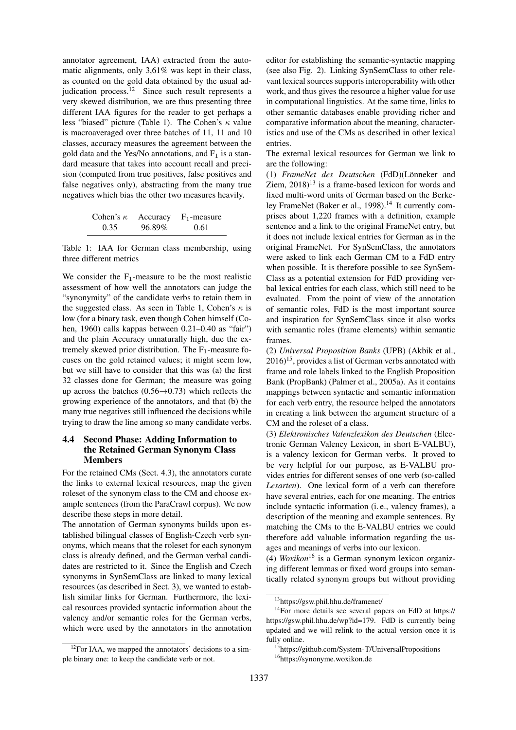annotator agreement, IAA) extracted from the automatic alignments, only 3,61% was kept in their class, as counted on the gold data obtained by the usual ad-judication process.<sup>[12](#page-5-1)</sup> Since such result represents a very skewed distribution, we are thus presenting three different IAA figures for the reader to get perhaps a less "biased" picture (Table [1\)](#page-5-2). The Cohen's  $\kappa$  value is macroaveraged over three batches of 11, 11 and 10 classes, accuracy measures the agreement between the gold data and the Yes/No annotations, and  $F_1$  is a standard measure that takes into account recall and precision (computed from true positives, false positives and false negatives only), abstracting from the many true negatives which bias the other two measures heavily.

<span id="page-5-2"></span>

| Cohen's $\kappa$ | Accuracy | $F_1$ -measure |
|------------------|----------|----------------|
| 0.35             | 96.89%   | 0.61           |

Table 1: IAA for German class membership, using three different metrics

We consider the  $F_1$ -measure to be the most realistic assessment of how well the annotators can judge the "synonymity" of the candidate verbs to retain them in the suggested class. As seen in Table [1,](#page-5-2) Cohen's  $\kappa$  is low (for a binary task, even though Cohen himself [\(Co](#page-8-17)[hen, 1960\)](#page-8-17) calls kappas between 0.21–0.40 as "fair") and the plain Accuracy unnaturally high, due the extremely skewed prior distribution. The  $F_1$ -measure focuses on the gold retained values; it might seem low, but we still have to consider that this was (a) the first 32 classes done for German; the measure was going up across the batches  $(0.56 \rightarrow 0.73)$  which reflects the growing experience of the annotators, and that (b) the many true negatives still influenced the decisions while trying to draw the line among so many candidate verbs.

### <span id="page-5-0"></span>4.4 Second Phase: Adding Information to the Retained German Synonym Class Members

For the retained CMs (Sect. [4.3\)](#page-4-6), the annotators curate the links to external lexical resources, map the given roleset of the synonym class to the CM and choose example sentences (from the ParaCrawl corpus). We now describe these steps in more detail.

The annotation of German synonyms builds upon established bilingual classes of English-Czech verb synonyms, which means that the roleset for each synonym class is already defined, and the German verbal candidates are restricted to it. Since the English and Czech synonyms in SynSemClass are linked to many lexical resources (as described in Sect. [3\)](#page-1-5), we wanted to establish similar links for German. Furthermore, the lexical resources provided syntactic information about the valency and/or semantic roles for the German verbs, which were used by the annotators in the annotation

editor for establishing the semantic-syntactic mapping (see also Fig. [2\)](#page-3-0). Linking SynSemClass to other relevant lexical sources supports interoperability with other work, and thus gives the resource a higher value for use in computational linguistics. At the same time, links to other semantic databases enable providing richer and comparative information about the meaning, characteristics and use of the CMs as described in other lexical entries.

The external lexical resources for German we link to are the following:

(1) *FrameNet des Deutschen* (FdD)(Lönneker and Ziem,  $2018$ <sup>[13](#page-5-3)</sup> is a frame-based lexicon for words and fixed multi-word units of German based on the Berke-ley FrameNet [\(Baker et al., 1998\)](#page-8-8).<sup>[14](#page-5-4)</sup> It currently comprises about 1,220 frames with a definition, example sentence and a link to the original FrameNet entry, but it does not include lexical entries for German as in the original FrameNet. For SynSemClass, the annotators were asked to link each German CM to a FdD entry when possible. It is therefore possible to see SynSem-Class as a potential extension for FdD providing verbal lexical entries for each class, which still need to be evaluated. From the point of view of the annotation of semantic roles, FdD is the most important source and inspiration for SynSemClass since it also works with semantic roles (frame elements) within semantic frames.

(2) *Universal Proposition Banks* (UPB) [\(Akbik et al.,](#page-8-18)  $2016$ <sup>[15](#page-5-5)</sup>, provides a list of German verbs annotated with frame and role labels linked to the English Proposition Bank (PropBank) [\(Palmer et al., 2005a\)](#page-9-27). As it contains mappings between syntactic and semantic information for each verb entry, the resource helped the annotators in creating a link between the argument structure of a CM and the roleset of a class.

(3) *Elektronisches Valenzlexikon des Deutschen* (Electronic German Valency Lexicon, in short E-VALBU), is a valency lexicon for German verbs. It proved to be very helpful for our purpose, as E-VALBU provides entries for different senses of one verb (so-called *Lesarten*). One lexical form of a verb can therefore have several entries, each for one meaning. The entries include syntactic information (i. e., valency frames), a description of the meaning and example sentences. By matching the CMs to the E-VALBU entries we could therefore add valuable information regarding the usages and meanings of verbs into our lexicon.

(4) *Woxikon*[16](#page-5-6) is a German synonym lexicon organizing different lemmas or fixed word groups into semantically related synonym groups but without providing

<span id="page-5-1"></span> $12$ For IAA, we mapped the annotators' decisions to a simple binary one: to keep the candidate verb or not.

<span id="page-5-4"></span><span id="page-5-3"></span><sup>13</sup><https://gsw.phil.hhu.de/framenet/>

<sup>14</sup>For more details see several papers on FdD at [https://](https://https://gsw.phil.hhu.de/wp?id=179) [https://gsw.phil.hhu.de/wp?id=179.](https://https://gsw.phil.hhu.de/wp?id=179) FdD is currently being updated and we will relink to the actual version once it is fully online.

<span id="page-5-6"></span><span id="page-5-5"></span><sup>&</sup>lt;sup>15</sup><https://github.com/System-T/UniversalPropositions> <sup>16</sup><https://synonyme.woxikon.de>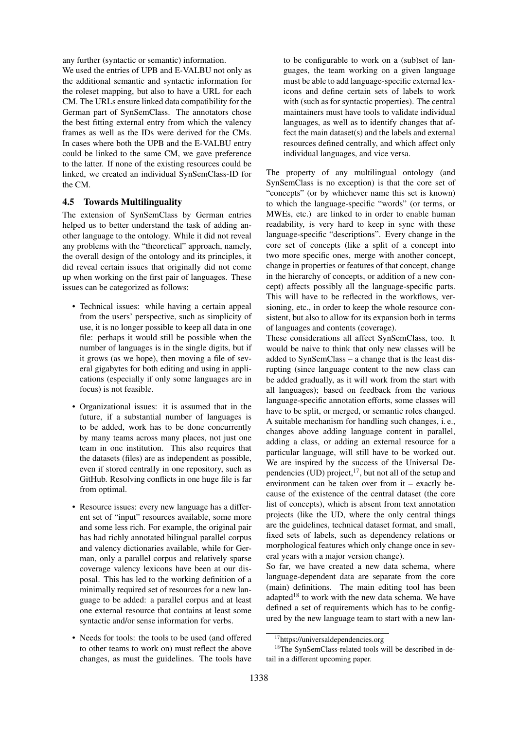any further (syntactic or semantic) information.

We used the entries of UPB and E-VALBU not only as the additional semantic and syntactic information for the roleset mapping, but also to have a URL for each CM. The URLs ensure linked data compatibility for the German part of SynSemClass. The annotators chose the best fitting external entry from which the valency frames as well as the IDs were derived for the CMs. In cases where both the UPB and the E-VALBU entry could be linked to the same CM, we gave preference to the latter. If none of the existing resources could be linked, we created an individual SynSemClass-ID for the CM.

#### <span id="page-6-2"></span>4.5 Towards Multilinguality

The extension of SynSemClass by German entries helped us to better understand the task of adding another language to the ontology. While it did not reveal any problems with the "theoretical" approach, namely, the overall design of the ontology and its principles, it did reveal certain issues that originally did not come up when working on the first pair of languages. These issues can be categorized as follows:

- Technical issues: while having a certain appeal from the users' perspective, such as simplicity of use, it is no longer possible to keep all data in one file: perhaps it would still be possible when the number of languages is in the single digits, but if it grows (as we hope), then moving a file of several gigabytes for both editing and using in applications (especially if only some languages are in focus) is not feasible.
- Organizational issues: it is assumed that in the future, if a substantial number of languages is to be added, work has to be done concurrently by many teams across many places, not just one team in one institution. This also requires that the datasets (files) are as independent as possible, even if stored centrally in one repository, such as GitHub. Resolving conflicts in one huge file is far from optimal.
- Resource issues: every new language has a different set of "input" resources available, some more and some less rich. For example, the original pair has had richly annotated bilingual parallel corpus and valency dictionaries available, while for German, only a parallel corpus and relatively sparse coverage valency lexicons have been at our disposal. This has led to the working definition of a minimally required set of resources for a new language to be added: a parallel corpus and at least one external resource that contains at least some syntactic and/or sense information for verbs.
- Needs for tools: the tools to be used (and offered to other teams to work on) must reflect the above changes, as must the guidelines. The tools have

to be configurable to work on a (sub)set of languages, the team working on a given language must be able to add language-specific external lexicons and define certain sets of labels to work with (such as for syntactic properties). The central maintainers must have tools to validate individual languages, as well as to identify changes that affect the main dataset(s) and the labels and external resources defined centrally, and which affect only individual languages, and vice versa.

The property of any multilingual ontology (and SynSemClass is no exception) is that the core set of "concepts" (or by whichever name this set is known) to which the language-specific "words" (or terms, or MWEs, etc.) are linked to in order to enable human readability, is very hard to keep in sync with these language-specific "descriptions". Every change in the core set of concepts (like a split of a concept into two more specific ones, merge with another concept, change in properties or features of that concept, change in the hierarchy of concepts, or addition of a new concept) affects possibly all the language-specific parts. This will have to be reflected in the workflows, versioning, etc., in order to keep the whole resource consistent, but also to allow for its expansion both in terms of languages and contents (coverage).

These considerations all affect SynSemClass, too. It would be naive to think that only new classes will be added to SynSemClass – a change that is the least disrupting (since language content to the new class can be added gradually, as it will work from the start with all languages); based on feedback from the various language-specific annotation efforts, some classes will have to be split, or merged, or semantic roles changed. A suitable mechanism for handling such changes, i. e., changes above adding language content in parallel, adding a class, or adding an external resource for a particular language, will still have to be worked out. We are inspired by the success of the Universal Dependencies (UD) project, $^{17}$  $^{17}$  $^{17}$ , but not all of the setup and environment can be taken over from it – exactly because of the existence of the central dataset (the core list of concepts), which is absent from text annotation projects (like the UD, where the only central things are the guidelines, technical dataset format, and small, fixed sets of labels, such as dependency relations or morphological features which only change once in several years with a major version change).

So far, we have created a new data schema, where language-dependent data are separate from the core (main) definitions. The main editing tool has been adapted<sup>[18](#page-6-1)</sup> to work with the new data schema. We have defined a set of requirements which has to be configured by the new language team to start with a new lan-

<span id="page-6-1"></span><span id="page-6-0"></span><sup>17</sup><https://universaldependencies.org>

<sup>18</sup>The SynSemClass-related tools will be described in detail in a different upcoming paper.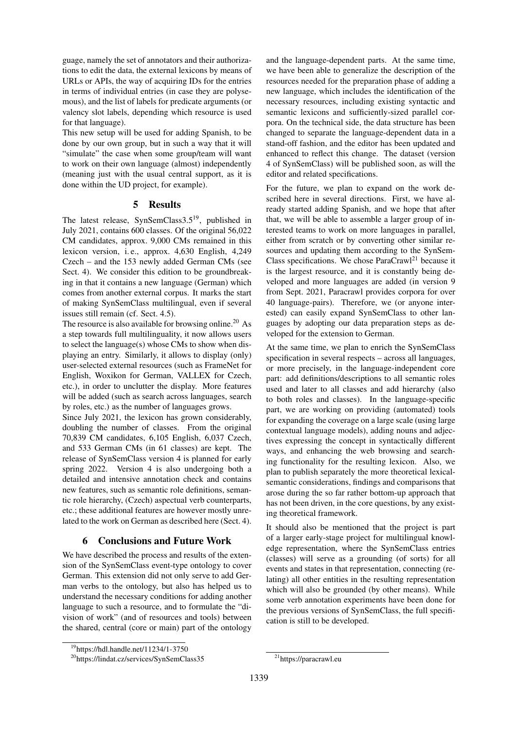guage, namely the set of annotators and their authorizations to edit the data, the external lexicons by means of URLs or APIs, the way of acquiring IDs for the entries in terms of individual entries (in case they are polysemous), and the list of labels for predicate arguments (or valency slot labels, depending which resource is used for that language).

This new setup will be used for adding Spanish, to be done by our own group, but in such a way that it will "simulate" the case when some group/team will want to work on their own language (almost) independently (meaning just with the usual central support, as it is done within the UD project, for example).

### 5 Results

The latest release, SynSemClass3.5[19](#page-7-0), published in July 2021, contains 600 classes. Of the original 56,022 CM candidates, approx. 9,000 CMs remained in this lexicon version, i. e., approx. 4,630 English, 4,249 Czech – and the 153 newly added German CMs (see Sect. 4). We consider this edition to be groundbreaking in that it contains a new language (German) which comes from another external corpus. It marks the start of making SynSemClass multilingual, even if several issues still remain (cf. Sect. [4.5\)](#page-6-2).

The resource is also available for browsing online.<sup>[20](#page-7-1)</sup> As a step towards full multilinguality, it now allows users to select the language(s) whose CMs to show when displaying an entry. Similarly, it allows to display (only) user-selected external resources (such as FrameNet for English, Woxikon for German, VALLEX for Czech, etc.), in order to unclutter the display. More features will be added (such as search across languages, search by roles, etc.) as the number of languages grows.

Since July 2021, the lexicon has grown considerably, doubling the number of classes. From the original 70,839 CM candidates, 6,105 English, 6,037 Czech, and 533 German CMs (in 61 classes) are kept. The release of SynSemClass version 4 is planned for early spring 2022. Version 4 is also undergoing both a detailed and intensive annotation check and contains new features, such as semantic role definitions, semantic role hierarchy, (Czech) aspectual verb counterparts, etc.; these additional features are however mostly unrelated to the work on German as described here (Sect. [4\)](#page-3-1).

### 6 Conclusions and Future Work

We have described the process and results of the extension of the SynSemClass event-type ontology to cover German. This extension did not only serve to add German verbs to the ontology, but also has helped us to understand the necessary conditions for adding another language to such a resource, and to formulate the "division of work" (and of resources and tools) between the shared, central (core or main) part of the ontology

and the language-dependent parts. At the same time, we have been able to generalize the description of the resources needed for the preparation phase of adding a new language, which includes the identification of the necessary resources, including existing syntactic and semantic lexicons and sufficiently-sized parallel corpora. On the technical side, the data structure has been changed to separate the language-dependent data in a stand-off fashion, and the editor has been updated and enhanced to reflect this change. The dataset (version 4 of SynSemClass) will be published soon, as will the editor and related specifications.

For the future, we plan to expand on the work described here in several directions. First, we have already started adding Spanish, and we hope that after that, we will be able to assemble a larger group of interested teams to work on more languages in parallel, either from scratch or by converting other similar resources and updating them according to the SynSem-Class specifications. We chose  $ParaCrawl<sup>21</sup>$  $ParaCrawl<sup>21</sup>$  $ParaCrawl<sup>21</sup>$  because it is the largest resource, and it is constantly being developed and more languages are added (in version 9 from Sept. 2021, Paracrawl provides corpora for over 40 language-pairs). Therefore, we (or anyone interested) can easily expand SynSemClass to other languages by adopting our data preparation steps as developed for the extension to German.

At the same time, we plan to enrich the SynSemClass specification in several respects – across all languages, or more precisely, in the language-independent core part: add definitions/descriptions to all semantic roles used and later to all classes and add hierarchy (also to both roles and classes). In the language-specific part, we are working on providing (automated) tools for expanding the coverage on a large scale (using large contextual language models), adding nouns and adjectives expressing the concept in syntactically different ways, and enhancing the web browsing and searching functionality for the resulting lexicon. Also, we plan to publish separately the more theoretical lexicalsemantic considerations, findings and comparisons that arose during the so far rather bottom-up approach that has not been driven, in the core questions, by any existing theoretical framework.

It should also be mentioned that the project is part of a larger early-stage project for multilingual knowledge representation, where the SynSemClass entries (classes) will serve as a grounding (of sorts) for all events and states in that representation, connecting (relating) all other entities in the resulting representation which will also be grounded (by other means). While some verb annotation experiments have been done for the previous versions of SynSemClass, the full specification is still to be developed.

<span id="page-7-0"></span><sup>19</sup><https://hdl.handle.net/11234/1-3750>

<span id="page-7-1"></span><sup>20</sup><https://lindat.cz/services/SynSemClass35>

<span id="page-7-2"></span><sup>21</sup><https://paracrawl.eu>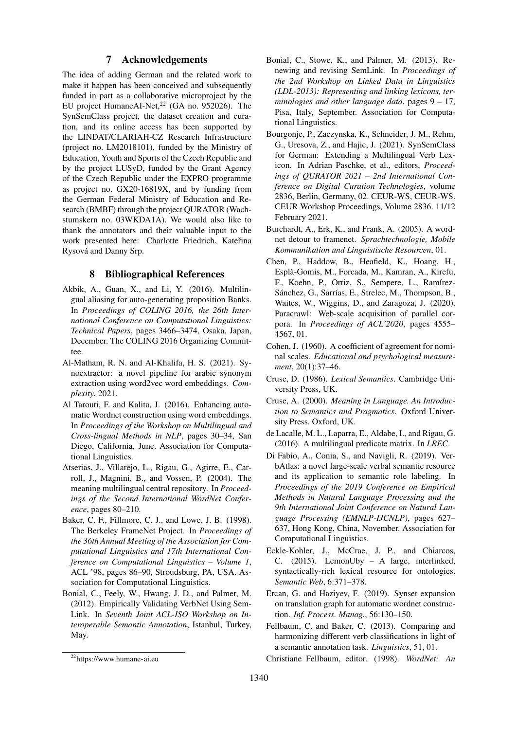### 7 Acknowledgements

The idea of adding German and the related work to make it happen has been conceived and subsequently funded in part as a collaborative microproject by the EU project HumaneAI-Net, $^{22}$  $^{22}$  $^{22}$  (GA no. 952026). The SynSemClass project, the dataset creation and curation, and its online access has been supported by the LINDAT/CLARIAH-CZ Research Infrastructure (project no. LM2018101), funded by the Ministry of Education, Youth and Sports of the Czech Republic and by the project LUSyD, funded by the Grant Agency of the Czech Republic under the EXPRO programme as project no. GX20-16819X, and by funding from the German Federal Ministry of Education and Research (BMBF) through the project QURATOR (Wachstumskern no. 03WKDA1A). We would also like to thank the annotators and their valuable input to the work presented here: Charlotte Friedrich, Kateřina Rysová and Danny Srp.

### 8 Bibliographical References

- <span id="page-8-18"></span>Akbik, A., Guan, X., and Li, Y. (2016). Multilingual aliasing for auto-generating proposition Banks. In *Proceedings of COLING 2016, the 26th International Conference on Computational Linguistics: Technical Papers*, pages 3466–3474, Osaka, Japan, December. The COLING 2016 Organizing Committee.
- <span id="page-8-3"></span>Al-Matham, R. N. and Al-Khalifa, H. S. (2021). Synoextractor: a novel pipeline for arabic synonym extraction using word2vec word embeddings. *Complexity*, 2021.
- <span id="page-8-2"></span>Al Tarouti, F. and Kalita, J. (2016). Enhancing automatic Wordnet construction using word embeddings. In *Proceedings of the Workshop on Multilingual and Cross-lingual Methods in NLP*, pages 30–34, San Diego, California, June. Association for Computational Linguistics.
- <span id="page-8-4"></span>Atserias, J., Villarejo, L., Rigau, G., Agirre, E., Carroll, J., Magnini, B., and Vossen, P. (2004). The meaning multilingual central repository. In *Proceedings of the Second International WordNet Conference*, pages 80–210.
- <span id="page-8-8"></span>Baker, C. F., Fillmore, C. J., and Lowe, J. B. (1998). The Berkeley FrameNet Project. In *Proceedings of the 36th Annual Meeting of the Association for Computational Linguistics and 17th International Conference on Computational Linguistics – Volume 1*, ACL '98, pages 86–90, Stroudsburg, PA, USA. Association for Computational Linguistics.
- <span id="page-8-7"></span>Bonial, C., Feely, W., Hwang, J. D., and Palmer, M. (2012). Empirically Validating VerbNet Using Sem-Link. In *Seventh Joint ACL-ISO Workshop on Interoperable Semantic Annotation*, Istanbul, Turkey, May.
- <span id="page-8-6"></span>Bonial, C., Stowe, K., and Palmer, M. (2013). Renewing and revising SemLink. In *Proceedings of the 2nd Workshop on Linked Data in Linguistics (LDL-2013): Representing and linking lexicons, terminologies and other language data*, pages 9 – 17, Pisa, Italy, September. Association for Computational Linguistics.
- <span id="page-8-15"></span>Bourgonje, P., Zaczynska, K., Schneider, J. M., Rehm, G., Uresova, Z., and Hajic, J. (2021). SynSemClass for German: Extending a Multilingual Verb Lexicon. In Adrian Paschke, et al., editors, *Proceedings of QURATOR 2021 – 2nd International Conference on Digital Curation Technologies*, volume 2836, Berlin, Germany, 02. CEUR-WS, CEUR-WS. CEUR Workshop Proceedings, Volume 2836. 11/12 February 2021.
- <span id="page-8-10"></span>Burchardt, A., Erk, K., and Frank, A. (2005). A wordnet detour to framenet. *Sprachtechnologie, Mobile Kommunikation und Linguistische Resourcen*, 01.
- <span id="page-8-16"></span>Chen, P., Haddow, B., Heafield, K., Hoang, H., Espla-Gomis, M., Forcada, M., Kamran, A., Kirefu, ` F., Koehn, P., Ortiz, S., Sempere, L., Ramírez-Sánchez, G., Sarrías, E., Strelec, M., Thompson, B., Waites, W., Wiggins, D., and Zaragoza, J. (2020). Paracrawl: Web-scale acquisition of parallel corpora. In *Proceedings of ACL'2020*, pages 4555– 4567, 01.
- <span id="page-8-17"></span>Cohen, J. (1960). A coefficient of agreement for nominal scales. *Educational and psychological measurement*, 20(1):37–46.
- <span id="page-8-14"></span>Cruse, D. (1986). *Lexical Semantics*. Cambridge University Press, UK.
- <span id="page-8-13"></span>Cruse, A. (2000). *Meaning in Language. An Introduction to Semantics and Pragmatics*. Oxford University Press. Oxford, UK.
- <span id="page-8-9"></span>de Lacalle, M. L., Laparra, E., Aldabe, I., and Rigau, G. (2016). A multilingual predicate matrix. In *LREC*.
- <span id="page-8-12"></span>Di Fabio, A., Conia, S., and Navigli, R. (2019). VerbAtlas: a novel large-scale verbal semantic resource and its application to semantic role labeling. In *Proceedings of the 2019 Conference on Empirical Methods in Natural Language Processing and the 9th International Joint Conference on Natural Language Processing (EMNLP-IJCNLP)*, pages 627– 637, Hong Kong, China, November. Association for Computational Linguistics.
- <span id="page-8-5"></span>Eckle-Kohler, J., McCrae, J. P., and Chiarcos, C. (2015). LemonUby – A large, interlinked, syntactically-rich lexical resource for ontologies. *Semantic Web*, 6:371–378.
- <span id="page-8-0"></span>Ercan, G. and Haziyev, F. (2019). Synset expansion on translation graph for automatic wordnet construction. *Inf. Process. Manag.*, 56:130–150.
- <span id="page-8-11"></span>Fellbaum, C. and Baker, C. (2013). Comparing and harmonizing different verb classifications in light of a semantic annotation task. *Linguistics*, 51, 01.

<span id="page-8-19"></span><sup>22</sup><https://www.humane-ai.eu>

<span id="page-8-1"></span>Christiane Fellbaum, editor. (1998). *WordNet: An*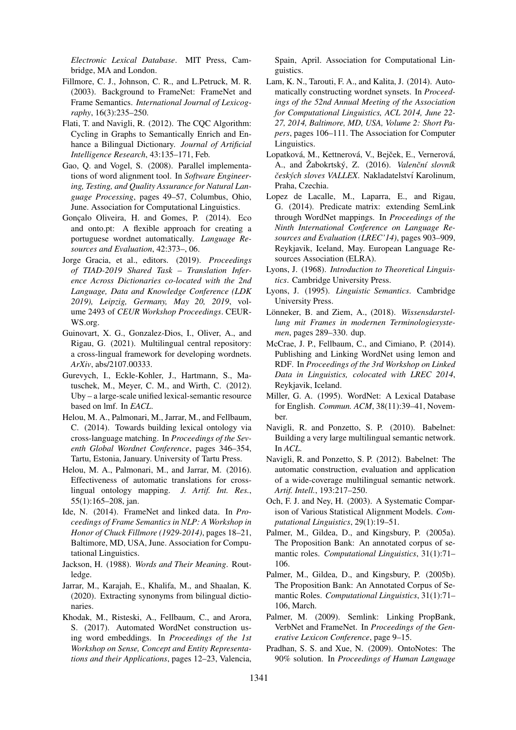*Electronic Lexical Database*. MIT Press, Cambridge, MA and London.

- <span id="page-9-22"></span>Fillmore, C. J., Johnson, C. R., and L.Petruck, M. R. (2003). Background to FrameNet: FrameNet and Frame Semantics. *International Journal of Lexicography*, 16(3):235–250.
- <span id="page-9-6"></span>Flati, T. and Navigli, R. (2012). The CQC Algorithm: Cycling in Graphs to Semantically Enrich and Enhance a Bilingual Dictionary. *Journal of Artificial Intelligence Research*, 43:135–171, Feb.
- <span id="page-9-24"></span>Gao, Q. and Vogel, S. (2008). Parallel implementations of word alignment tool. In *Software Engineering, Testing, and Quality Assurance for Natural Language Processing*, pages 49–57, Columbus, Ohio, June. Association for Computational Linguistics.
- <span id="page-9-1"></span>Goncalo Oliveira, H. and Gomes, P. (2014). Eco and onto.pt: A flexible approach for creating a portuguese wordnet automatically. *Language Resources and Evaluation*, 42:373–, 06.
- <span id="page-9-7"></span>Jorge Gracia, et al., editors. (2019). *Proceedings of TIAD-2019 Shared Task – Translation Inference Across Dictionaries co-located with the 2nd Language, Data and Knowledge Conference (LDK 2019), Leipzig, Germany, May 20, 2019*, volume 2493 of *CEUR Workshop Proceedings*. CEUR-WS.org.
- <span id="page-9-8"></span>Guinovart, X. G., Gonzalez-Dios, I., Oliver, A., and Rigau, G. (2021). Multilingual central repository: a cross-lingual framework for developing wordnets. *ArXiv*, abs/2107.00333.
- <span id="page-9-9"></span>Gurevych, I., Eckle-Kohler, J., Hartmann, S., Matuschek, M., Meyer, C. M., and Wirth, C. (2012). Uby – a large-scale unified lexical-semantic resource based on lmf. In *EACL*.
- <span id="page-9-2"></span>Helou, M. A., Palmonari, M., Jarrar, M., and Fellbaum, C. (2014). Towards building lexical ontology via cross-language matching. In *Proceedings of the Seventh Global Wordnet Conference*, pages 346–354, Tartu, Estonia, January. University of Tartu Press.
- <span id="page-9-3"></span>Helou, M. A., Palmonari, M., and Jarrar, M. (2016). Effectiveness of automatic translations for crosslingual ontology mapping. *J. Artif. Int. Res.*, 55(1):165–208, jan.
- <span id="page-9-10"></span>Ide, N. (2014). FrameNet and linked data. In *Proceedings of Frame Semantics in NLP: A Workshop in Honor of Chuck Fillmore (1929-2014)*, pages 18–21, Baltimore, MD, USA, June. Association for Computational Linguistics.
- <span id="page-9-19"></span>Jackson, H. (1988). *Words and Their Meaning*. Routledge.
- <span id="page-9-4"></span>Jarrar, M., Karajah, E., Khalifa, M., and Shaalan, K. (2020). Extracting synonyms from bilingual dictionaries.
- <span id="page-9-5"></span>Khodak, M., Risteski, A., Fellbaum, C., and Arora, S. (2017). Automated WordNet construction using word embeddings. In *Proceedings of the 1st Workshop on Sense, Concept and Entity Representations and their Applications*, pages 12–23, Valencia,

Spain, April. Association for Computational Linguistics.

- <span id="page-9-0"></span>Lam, K. N., Tarouti, F. A., and Kalita, J. (2014). Automatically constructing wordnet synsets. In *Proceedings of the 52nd Annual Meeting of the Association for Computational Linguistics, ACL 2014, June 22- 27, 2014, Baltimore, MD, USA, Volume 2: Short Papers*, pages 106–111. The Association for Computer Linguistics.
- <span id="page-9-21"></span>Lopatková, M., Kettnerová, V., Bejček, E., Vernerová, A., and Žabokrtský, Z. (2016). Valenční slovník *cesk ˇ ych sloves VALLEX ´* . Nakladatelstv´ı Karolinum, Praha, Czechia.
- <span id="page-9-15"></span>Lopez de Lacalle, M., Laparra, E., and Rigau, G. (2014). Predicate matrix: extending SemLink through WordNet mappings. In *Proceedings of the Ninth International Conference on Language Resources and Evaluation (LREC'14)*, pages 903–909, Reykjavik, Iceland, May. European Language Resources Association (ELRA).
- <span id="page-9-18"></span>Lyons, J. (1968). *Introduction to Theoretical Linguistics*. Cambridge University Press.
- <span id="page-9-20"></span>Lyons, J. (1995). *Linguistic Semantics*. Cambridge University Press.
- <span id="page-9-26"></span>Lönneker, B. and Ziem, A., (2018). Wissensdarstel*lung mit Frames in modernen Terminologiesystemen*, pages 289–330. dup.
- <span id="page-9-11"></span>McCrae, J. P., Fellbaum, C., and Cimiano, P. (2014). Publishing and Linking WordNet using lemon and RDF. In *Proceedings of the 3rd Workshop on Linked Data in Linguistics, colocated with LREC 2014*, Reykjavik, Iceland.
- <span id="page-9-14"></span>Miller, G. A. (1995). WordNet: A Lexical Database for English. *Commun. ACM*, 38(11):39–41, November.
- <span id="page-9-16"></span>Navigli, R. and Ponzetto, S. P. (2010). Babelnet: Building a very large multilingual semantic network. In *ACL*.
- <span id="page-9-17"></span>Navigli, R. and Ponzetto, S. P. (2012). Babelnet: The automatic construction, evaluation and application of a wide-coverage multilingual semantic network. *Artif. Intell.*, 193:217–250.
- <span id="page-9-25"></span>Och, F. J. and Ney, H. (2003). A Systematic Comparison of Various Statistical Alignment Models. *Computational Linguistics*, 29(1):19–51.
- <span id="page-9-27"></span>Palmer, M., Gildea, D., and Kingsbury, P. (2005a). The Proposition Bank: An annotated corpus of semantic roles. *Computational Linguistics*, 31(1):71– 106.
- <span id="page-9-13"></span>Palmer, M., Gildea, D., and Kingsbury, P. (2005b). The Proposition Bank: An Annotated Corpus of Semantic Roles. *Computational Linguistics*, 31(1):71– 106, March.
- <span id="page-9-12"></span>Palmer, M. (2009). Semlink: Linking PropBank, VerbNet and FrameNet. In *Proceedings of the Generative Lexicon Conference*, page 9–15.
- <span id="page-9-23"></span>Pradhan, S. S. and Xue, N. (2009). OntoNotes: The 90% solution. In *Proceedings of Human Language*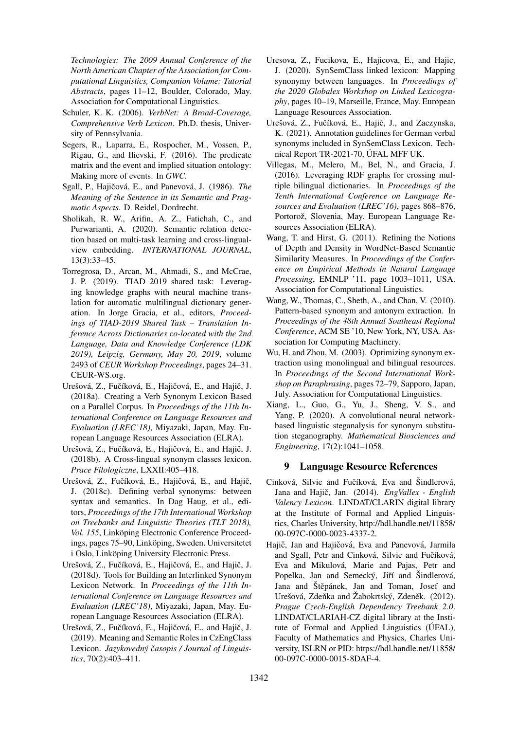*Technologies: The 2009 Annual Conference of the North American Chapter of the Association for Computational Linguistics, Companion Volume: Tutorial Abstracts*, pages 11–12, Boulder, Colorado, May. Association for Computational Linguistics.

- <span id="page-10-10"></span>Schuler, K. K. (2006). *VerbNet: A Broad-Coverage, Comprehensive Verb Lexicon*. Ph.D. thesis, University of Pennsylvania.
- <span id="page-10-9"></span>Segers, R., Laparra, E., Rospocher, M., Vossen, P., Rigau, G., and Ilievski, F. (2016). The predicate matrix and the event and implied situation ontology: Making more of events. In *GWC*.
- <span id="page-10-13"></span>Sgall, P., Hajičová, E., and Panevová, J. (1986). *The Meaning of the Sentence in its Semantic and Pragmatic Aspects*. D. Reidel, Dordrecht.
- <span id="page-10-6"></span>Sholikah, R. W., Arifin, A. Z., Fatichah, C., and Purwarianti, A. (2020). Semantic relation detection based on multi-task learning and cross-lingualview embedding. *INTERNATIONAL JOURNAL*, 13(3):33–45.
- <span id="page-10-2"></span>Torregrosa, D., Arcan, M., Ahmadi, S., and McCrae, J. P. (2019). TIAD 2019 shared task: Leveraging knowledge graphs with neural machine translation for automatic multilingual dictionary generation. In Jorge Gracia, et al., editors, *Proceedings of TIAD-2019 Shared Task – Translation Inference Across Dictionaries co-located with the 2nd Language, Data and Knowledge Conference (LDK 2019), Leipzig, Germany, May 20, 2019*, volume 2493 of *CEUR Workshop Proceedings*, pages 24–31. CEUR-WS.org.
- <span id="page-10-12"></span>Urešová, Z., Fučíková, E., Hajičová, E., and Hajič, J. (2018a). Creating a Verb Synonym Lexicon Based on a Parallel Corpus. In *Proceedings of the 11th International Conference on Language Resources and Evaluation (LREC'18)*, Miyazaki, Japan, May. European Language Resources Association (ELRA).
- <span id="page-10-8"></span>Urešová, Z., Fučíková, E., Hajičová, E., and Hajič, J. (2018b). A Cross-lingual synonym classes lexicon. *Prace Filologiczne*, LXXII:405–418.
- <span id="page-10-7"></span>Urešová, Z., Fučíková, E., Hajičová, E., and Hajič, J. (2018c). Defining verbal synonyms: between syntax and semantics. In Dag Haug, et al., editors, *Proceedings of the 17th International Workshop on Treebanks and Linguistic Theories (TLT 2018), Vol. 155*, Linköping Electronic Conference Proceedings, pages 75–90, Linköping, Sweden. Universitetet i Oslo, Linköping University Electronic Press.
- <span id="page-10-15"></span>Urešová, Z., Fučíková, E., Hajičová, E., and Hajič, J. (2018d). Tools for Building an Interlinked Synonym Lexicon Network. In *Proceedings of the 11th International Conference on Language Resources and Evaluation (LREC'18)*, Miyazaki, Japan, May. European Language Resources Association (ELRA).
- <span id="page-10-11"></span>Urešová, Z., Fučíková, E., Hajičová, E., and Hajič, J. (2019). Meaning and Semantic Roles in CzEngClass Lexicon. *Jazykovedný časopis / Journal of Linguistics*, 70(2):403–411.
- <span id="page-10-14"></span>Uresova, Z., Fucikova, E., Hajicova, E., and Hajic, J. (2020). SynSemClass linked lexicon: Mapping synonymy between languages. In *Proceedings of the 2020 Globalex Workshop on Linked Lexicography*, pages 10–19, Marseille, France, May. European Language Resources Association.
- <span id="page-10-16"></span>Urešová, Z., Fučíková, E., Hajič, J., and Zaczynska, K. (2021). Annotation guidelines for German verbal synonyms included in SynSemClass Lexicon. Technical Report TR-2021-70, ÚFAL MFF UK.
- <span id="page-10-1"></span>Villegas, M., Melero, M., Bel, N., and Gracia, J. (2016). Leveraging RDF graphs for crossing multiple bilingual dictionaries. In *Proceedings of the Tenth International Conference on Language Resources and Evaluation (LREC'16)*, pages 868–876, Portorož, Slovenia, May. European Language Resources Association (ELRA).
- <span id="page-10-4"></span>Wang, T. and Hirst, G. (2011). Refining the Notions of Depth and Density in WordNet-Based Semantic Similarity Measures. In *Proceedings of the Conference on Empirical Methods in Natural Language Processing*, EMNLP '11, page 1003–1011, USA. Association for Computational Linguistics.
- <span id="page-10-3"></span>Wang, W., Thomas, C., Sheth, A., and Chan, V. (2010). Pattern-based synonym and antonym extraction. In *Proceedings of the 48th Annual Southeast Regional Conference*, ACM SE '10, New York, NY, USA. Association for Computing Machinery.
- <span id="page-10-0"></span>Wu, H. and Zhou, M. (2003). Optimizing synonym extraction using monolingual and bilingual resources. In *Proceedings of the Second International Workshop on Paraphrasing*, pages 72–79, Sapporo, Japan, July. Association for Computational Linguistics.
- <span id="page-10-5"></span>Xiang, L., Guo, G., Yu, J., Sheng, V. S., and Yang, P. (2020). A convolutional neural networkbased linguistic steganalysis for synonym substitution steganography. *Mathematical Biosciences and Engineering*, 17(2):1041–1058.

### 9 Language Resource References

- Cinková, Silvie and Fučíková, Eva and Šindlerová, Jana and Hajič, Jan. (2014). *EngVallex - English Valency Lexicon*. LINDAT/CLARIN digital library at the Institute of Formal and Applied Linguistics, Charles University, [http://hdl.handle.net/11858/](http://hdl.handle.net/11858/00-097C-0000-0023-4337-2) [00-097C-0000-0023-4337-2.](http://hdl.handle.net/11858/00-097C-0000-0023-4337-2)
- Hajič, Jan and Hajičová, Eva and Panevová, Jarmila and Sgall, Petr and Cinková, Silvie and Fučíková, Eva and Mikulová, Marie and Pajas, Petr and Popelka, Jan and Semecký, Jiří and Sindlerová, Jana and Štěpánek, Jan and Toman, Josef and Urešová, Zdeňka and Žabokrtský, Zdeněk. (2012). *Prague Czech-English Dependency Treebank 2.0*. LINDAT/CLARIAH-CZ digital library at the Institute of Formal and Applied Linguistics (UFAL), Faculty of Mathematics and Physics, Charles University, ISLRN or PID: [https://hdl.handle.net/11858/](https://hdl.handle.net/11858/00-097C-0000-0015-8DAF-4) [00-097C-0000-0015-8DAF-4.](https://hdl.handle.net/11858/00-097C-0000-0015-8DAF-4)